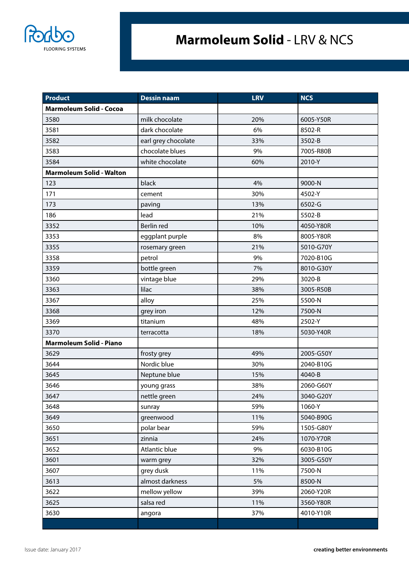

## **Marmoleum Solid** - LRV & NCS

| Product                         | <b>Dessin naam</b>  | <b>LRV</b> | <b>NCS</b> |
|---------------------------------|---------------------|------------|------------|
| <b>Marmoleum Solid - Cocoa</b>  |                     |            |            |
| 3580                            | milk chocolate      | 20%        | 6005-Y50R  |
| 3581                            | dark chocolate      | 6%         | 8502-R     |
| 3582                            | earl grey chocolate | 33%        | 3502-B     |
| 3583                            | chocolate blues     | 9%         | 7005-R80B  |
| 3584                            | white chocolate     | 60%        | 2010-Y     |
| <b>Marmoleum Solid - Walton</b> |                     |            |            |
| 123                             | black               | 4%         | 9000-N     |
| 171                             | cement              | 30%        | 4502-Y     |
| 173                             | paving              | 13%        | 6502-G     |
| 186                             | lead                | 21%        | 5502-B     |
| 3352                            | Berlin red          | 10%        | 4050-Y80R  |
| 3353                            | eggplant purple     | 8%         | 8005-Y80R  |
| 3355                            | rosemary green      | 21%        | 5010-G70Y  |
| 3358                            | petrol              | 9%         | 7020-B10G  |
| 3359                            | bottle green        | 7%         | 8010-G30Y  |
| 3360                            | vintage blue        | 29%        | 3020-B     |
| 3363                            | lilac               | 38%        | 3005-R50B  |
| 3367                            | alloy               | 25%        | 5500-N     |
| 3368                            | grey iron           | 12%        | 7500-N     |
| 3369                            | titanium            | 48%        | 2502-Y     |
| 3370                            | terracotta          | 18%        | 5030-Y40R  |
| <b>Marmoleum Solid - Piano</b>  |                     |            |            |
| 3629                            | frosty grey         | 49%        | 2005-G50Y  |
| 3644                            | Nordic blue         | 30%        | 2040-B10G  |
| 3645                            | Neptune blue        | 15%        | 4040-B     |
| 3646                            | young grass         | 38%        | 2060-G60Y  |
| 3647                            | nettle green        | 24%        | 3040-G20Y  |
| 3648                            | sunray              | 59%        | 1060-Y     |
| 3649                            | greenwood           | 11%        | 5040-B90G  |
| 3650                            | polar bear          | 59%        | 1505-G80Y  |
| 3651                            | zinnia              | 24%        | 1070-Y70R  |
| 3652                            | Atlantic blue       | 9%         | 6030-B10G  |
| 3601                            | warm grey           | 32%        | 3005-G50Y  |
| 3607                            | grey dusk           | 11%        | 7500-N     |
| 3613                            | almost darkness     | 5%         | 8500-N     |
| 3622                            | mellow yellow       | 39%        | 2060-Y20R  |
| 3625                            | salsa red           | 11%        | 3560-Y80R  |
| 3630                            | angora              | 37%        | 4010-Y10R  |
|                                 |                     |            |            |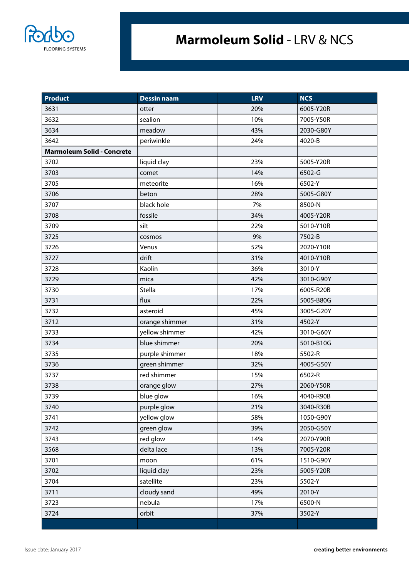

## **Marmoleum Solid** - LRV & NCS

| <b>Product</b>                    | <b>Dessin naam</b> | <b>LRV</b> | <b>NCS</b> |
|-----------------------------------|--------------------|------------|------------|
| 3631                              | otter              | 20%        | 6005-Y20R  |
| 3632                              | sealion            | 10%        | 7005-Y50R  |
| 3634                              | meadow             | 43%        | 2030-G80Y  |
| 3642                              | periwinkle         | 24%        | 4020-B     |
| <b>Marmoleum Solid - Concrete</b> |                    |            |            |
| 3702                              | liquid clay        | 23%        | 5005-Y20R  |
| 3703                              | comet              | 14%        | 6502-G     |
| 3705                              | meteorite          | 16%        | 6502-Y     |
| 3706                              | beton              | 28%        | 5005-G80Y  |
| 3707                              | black hole         | 7%         | 8500-N     |
| 3708                              | fossile            | 34%        | 4005-Y20R  |
| 3709                              | silt               | 22%        | 5010-Y10R  |
| 3725                              | cosmos             | 9%         | 7502-B     |
| 3726                              | Venus              | 52%        | 2020-Y10R  |
| 3727                              | drift              | 31%        | 4010-Y10R  |
| 3728                              | Kaolin             | 36%        | 3010-Y     |
| 3729                              | mica               | 42%        | 3010-G90Y  |
| 3730                              | Stella             | 17%        | 6005-R20B  |
| 3731                              | flux               | 22%        | 5005-B80G  |
| 3732                              | asteroid           | 45%        | 3005-G20Y  |
| 3712                              | orange shimmer     | 31%        | 4502-Y     |
| 3733                              | yellow shimmer     | 42%        | 3010-G60Y  |
| 3734                              | blue shimmer       | 20%        | 5010-B10G  |
| 3735                              | purple shimmer     | 18%        | 5502-R     |
| 3736                              | green shimmer      | 32%        | 4005-G50Y  |
| 3737                              | red shimmer        | 15%        | 6502-R     |
| 3738                              | orange glow        | 27%        | 2060-Y50R  |
| 3739                              | blue glow          | 16%        | 4040-R90B  |
| 3740                              | purple glow        | 21%        | 3040-R30B  |
| 3741                              | yellow glow        | 58%        | 1050-G90Y  |
| 3742                              | green glow         | 39%        | 2050-G50Y  |
| 3743                              | red glow           | 14%        | 2070-Y90R  |
| 3568                              | delta lace         | 13%        | 7005-Y20R  |
| 3701                              | moon               | 61%        | 1510-G90Y  |
| 3702                              | liquid clay        | 23%        | 5005-Y20R  |
| 3704                              | satellite          | 23%        | 5502-Y     |
| 3711                              | cloudy sand        | 49%        | 2010-Y     |
| 3723                              | nebula             | 17%        | 6500-N     |
| 3724                              | orbit              | 37%        | 3502-Y     |
|                                   |                    |            |            |